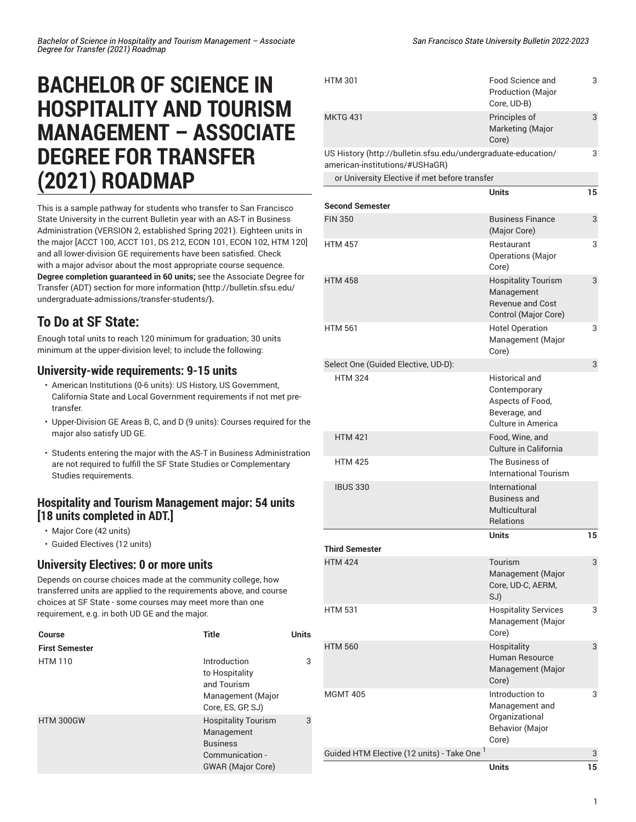# **BACHELOR OF SCIENCE IN HOSPITALITY AND TOURISM MANAGEMENT – ASSOCIATE DEGREE FOR TRANSFER (2021) ROADMAP**

This is a sample pathway for students who transfer to San Francisco State University in the current Bulletin year with an AS-T in Business Administration (VERSION 2, established Spring 2021). Eighteen units in the major [ACCT 100, ACCT 101, DS 212, ECON 101, ECON 102, HTM 120] and all lower-division GE requirements have been satisfied. Check with a major advisor about the most appropriate course sequence. **Degree completion guaranteed in 60 units;** see the [Associate](http://bulletin.sfsu.edu/undergraduate-admissions/transfer-students/) Degree for Transfer (ADT) section for more [information](http://bulletin.sfsu.edu/undergraduate-admissions/transfer-students/) **(**[http://bulletin.sfsu.edu/](http://bulletin.sfsu.edu/undergraduate-admissions/transfer-students/) [undergraduate-admissions/transfer-students/](http://bulletin.sfsu.edu/undergraduate-admissions/transfer-students/)**).**

## **To Do at SF State:**

Enough total units to reach 120 minimum for graduation; 30 units minimum at the upper-division level; to include the following:

### **University-wide requirements: 9-15 units**

- American Institutions (0-6 units): US History, US Government, California State and Local Government requirements if not met pretransfer.
- Upper-Division GE Areas B, C, and D (9 units): Courses required for the major also satisfy UD GE.
- Students entering the major with the AS-T in Business Administration are not required to fulfill the SF State Studies or Complementary Studies requirements.

### **Hospitality and Tourism Management major: 54 units [18 units completed in ADT.]**

- Major Core (42 units)
- Guided Electives (12 units)

### **University Electives: 0 or more units**

Depends on course choices made at the community college, how transferred units are applied to the requirements above, and course choices at SF State - some courses may meet more than one requirement, e.g. in both UD GE and the major.

| <b>Course</b>         | <b>Title</b>                                                                                               | <b>Units</b> |
|-----------------------|------------------------------------------------------------------------------------------------------------|--------------|
| <b>First Semester</b> |                                                                                                            |              |
| <b>HTM 110</b>        | Introduction<br>to Hospitality<br>and Tourism<br>Management (Major<br>Core, ES, GP, SJ)                    | 3            |
| <b>HTM 300GW</b>      | <b>Hospitality Tourism</b><br>Management<br><b>Business</b><br>Communication -<br><b>GWAR</b> (Major Core) | 3            |

| <b>HTM 301</b>                                                                                  | Food Science and<br><b>Production (Major</b><br>Core, UD-B)                                      | 3  |
|-------------------------------------------------------------------------------------------------|--------------------------------------------------------------------------------------------------|----|
| <b>MKTG 431</b>                                                                                 | Principles of<br>Marketing (Major<br>Core)                                                       | 3  |
| US History (http://bulletin.sfsu.edu/undergraduate-education/<br>american-institutions/#USHaGR) |                                                                                                  | 3  |
| or University Elective if met before transfer                                                   |                                                                                                  |    |
| <b>Second Semester</b>                                                                          | Units                                                                                            | 15 |
| <b>FIN 350</b>                                                                                  | <b>Business Finance</b>                                                                          | 3  |
|                                                                                                 | (Major Core)                                                                                     |    |
| <b>HTM 457</b>                                                                                  | Restaurant<br><b>Operations</b> (Major<br>Core)                                                  | 3  |
| <b>HTM 458</b>                                                                                  | <b>Hospitality Tourism</b><br>Management<br><b>Revenue and Cost</b><br>Control (Major Core)      | 3  |
| <b>HTM 561</b>                                                                                  | <b>Hotel Operation</b><br>Management (Major<br>Core)                                             | 3  |
| Select One (Guided Elective, UD-D):                                                             |                                                                                                  | 3  |
| <b>HTM 324</b>                                                                                  | <b>Historical and</b><br>Contemporary<br>Aspects of Food,<br>Beverage, and<br>Culture in America |    |
| <b>HTM 421</b>                                                                                  | Food, Wine, and<br>Culture in California                                                         |    |
| <b>HTM 425</b>                                                                                  | The Business of<br><b>International Tourism</b>                                                  |    |
| <b>IBUS 330</b>                                                                                 | International<br><b>Business and</b><br>Multicultural<br><b>Relations</b>                        |    |
|                                                                                                 | Units                                                                                            | 15 |
| <b>Third Semester</b>                                                                           |                                                                                                  |    |
| <b>HTM 424</b>                                                                                  | Tourism<br>Management (Major<br>Core, UD-C, AERM,<br>SJ)                                         | 3  |
| <b>HTM 531</b>                                                                                  | <b>Hospitality Services</b><br>Management (Major<br>Core)                                        | 3  |
| <b>HTM 560</b>                                                                                  | Hospitality<br>Human Resource<br>Management (Major<br>Core)                                      | 3  |
| <b>MGMT 405</b>                                                                                 | Introduction to<br>Management and<br>Organizational<br><b>Behavior</b> (Major<br>Core)           | 3  |
| Guided HTM Elective (12 units) - Take One <sup>1</sup>                                          |                                                                                                  | 3  |
|                                                                                                 | <b>Units</b>                                                                                     | 15 |